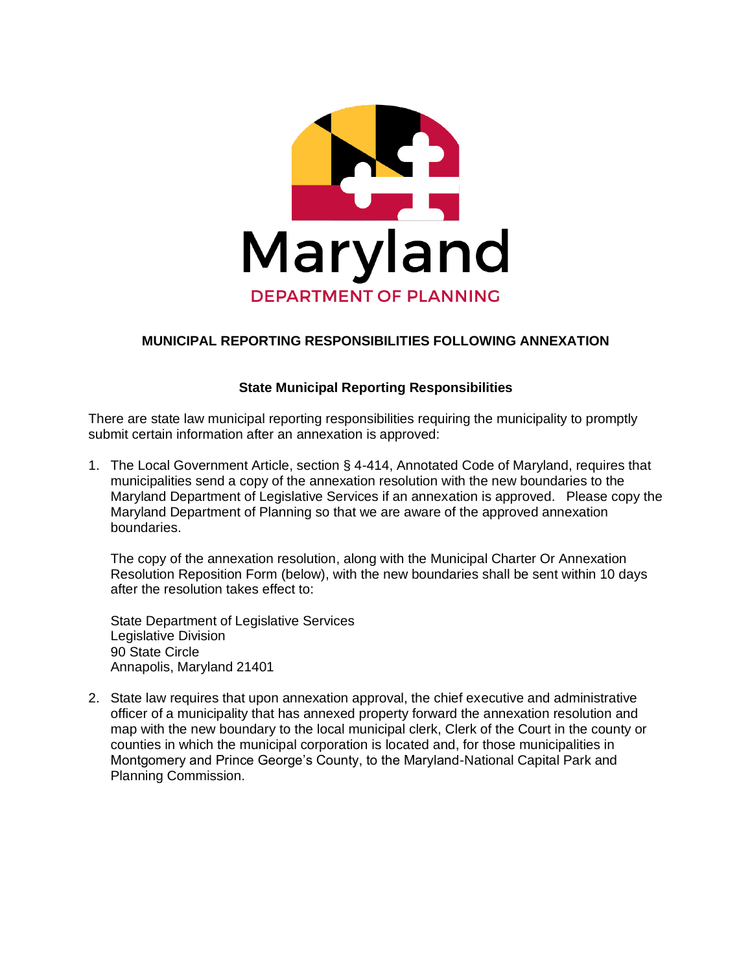

## **MUNICIPAL REPORTING RESPONSIBILITIES FOLLOWING ANNEXATION**

## **State Municipal Reporting Responsibilities**

There are state law municipal reporting responsibilities requiring the municipality to promptly submit certain information after an annexation is approved:

1. The Local Government Article, section § 4-414, Annotated Code of Maryland, requires that municipalities send a copy of the annexation resolution with the new boundaries to the Maryland Department of Legislative Services if an annexation is approved. Please copy the Maryland Department of Planning so that we are aware of the approved annexation boundaries.

The copy of the annexation resolution, along with the Municipal Charter Or Annexation Resolution Reposition Form (below), with the new boundaries shall be sent within 10 days after the resolution takes effect to:

State Department of Legislative Services Legislative Division 90 State Circle Annapolis, Maryland 21401

2. State law requires that upon annexation approval, the chief executive and administrative officer of a municipality that has annexed property forward the annexation resolution and map with the new boundary to the local municipal clerk, Clerk of the Court in the county or counties in which the municipal corporation is located and, for those municipalities in Montgomery and Prince George's County, to the Maryland-National Capital Park and Planning Commission.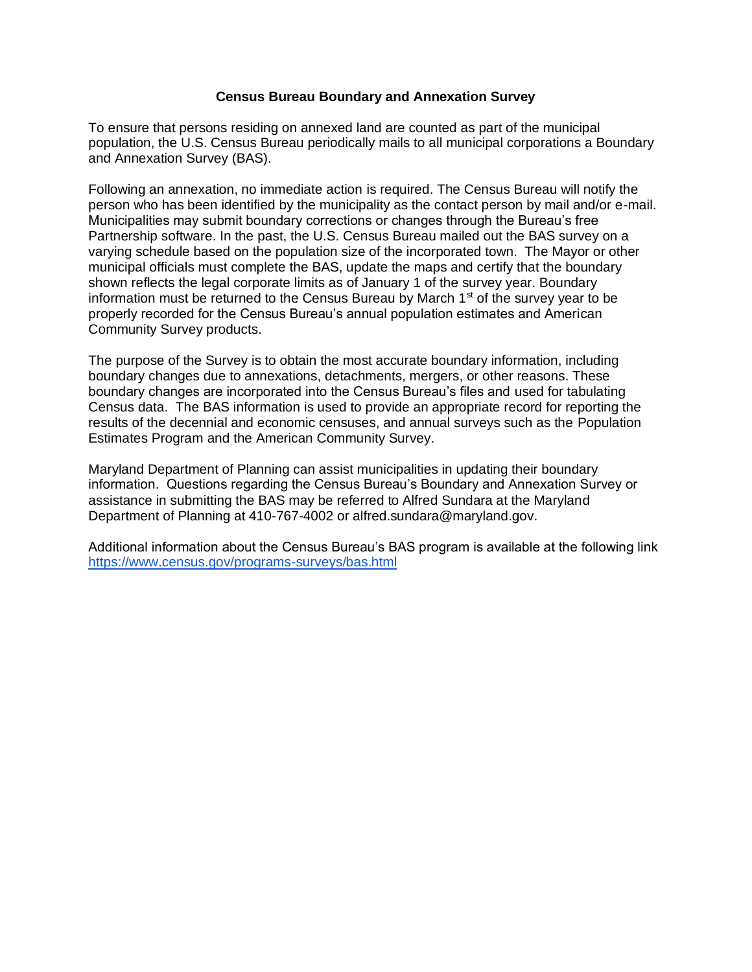## **Census Bureau Boundary and Annexation Survey**

To ensure that persons residing on annexed land are counted as part of the municipal population, the U.S. Census Bureau periodically mails to all municipal corporations a Boundary and Annexation Survey (BAS).

Following an annexation, no immediate action is required. The Census Bureau will notify the person who has been identified by the municipality as the contact person by mail and/or e-mail. Municipalities may submit boundary corrections or changes through the Bureau's free Partnership software. In the past, the U.S. Census Bureau mailed out the BAS survey on a varying schedule based on the population size of the incorporated town. The Mayor or other municipal officials must complete the BAS, update the maps and certify that the boundary shown reflects the legal corporate limits as of January 1 of the survey year. Boundary information must be returned to the Census Bureau by March  $1<sup>st</sup>$  of the survey year to be properly recorded for the Census Bureau's annual population estimates and American Community Survey products.

The purpose of the Survey is to obtain the most accurate boundary information, including boundary changes due to annexations, detachments, mergers, or other reasons. These boundary changes are incorporated into the Census Bureau's files and used for tabulating Census data. The BAS information is used to provide an appropriate record for reporting the results of the decennial and economic censuses, and annual surveys such as the Population Estimates Program and the American Community Survey.

Maryland Department of Planning can assist municipalities in updating their boundary information. Questions regarding the Census Bureau's Boundary and Annexation Survey or assistance in submitting the BAS may be referred to Alfred Sundara at the Maryland Department of Planning at 410-767-4002 or alfred.sundara@maryland.gov.

Additional information about the Census Bureau's BAS program is available at the following link <https://www.census.gov/programs-surveys/bas.html>